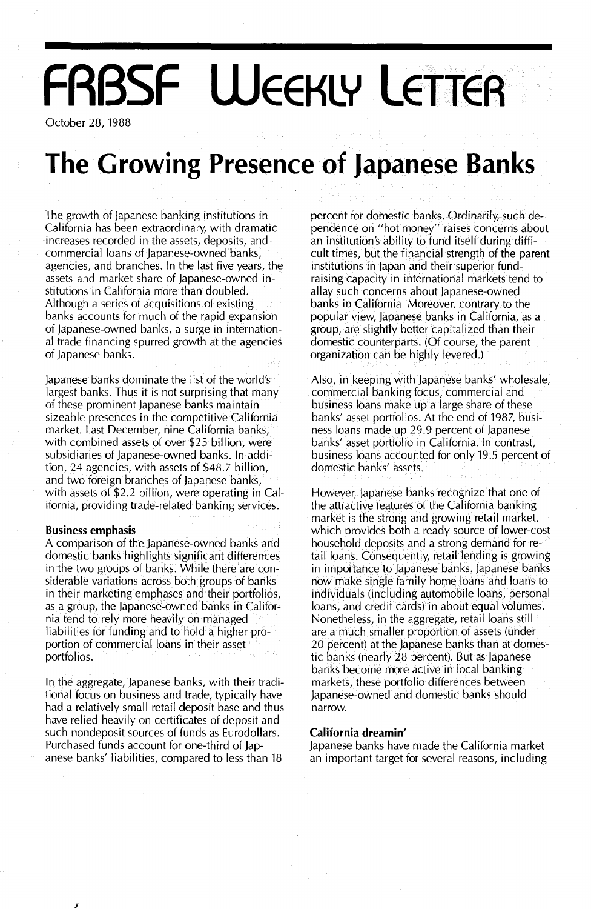# **FRBSF WEEKLY LETTER**

October 28, 1988

## **The Growing Presence of Japanese Banks**

The growth of Japanese banking institutions in California has been extraordinary, with dramatic increases recorded in the assets, deposits, and commercial loans of Japanese-owned banks, agencies, and branches. In the last five years, the assets and market share of Japanese-owned institutions in California more than doubled. Although a series of acquisitions of existing banks accounts for much of the rapid expansion of Japanese-owned banks, a surge in international trade financing spurred growth at the agencies of Japanese banks.

Japanese banks dominate the list of the world's largest banks. Thus it is not surprising that many of these prominent Japanese banks maintain sizeable presences in the competitive California market. Last December, nine California banks, with combined assets of over \$25 billion, were subsidiaries of Japanese-owned banks. In addition, 24 agencies, with assets of \$48.7 billion, and two foreign branches of Japanese banks, with assets of \$2.2 billion, were operating in California, providing trade-related banking services.

### **Business emphasis**

A comparison of the Japanese-owned banks and domestic banks highlights significant differences in the two groups of banks. While there are considerable variations across both groups of banks in their marketing emphases and their portfolios, as a group, the Japanese-owned banks in California tend to rely more heaVily on managed liabilities for funding and to hold a higher proportion of commercial loans in their asset portfolios.

In the aggregate, Japanese banks, with their traditional focus on business and trade, typically have had a relatively small retail deposit base and thus have relied heavily on certificates of deposit and such nondeposit sources of funds as Eurodollars. Purchased funds account for one-third of Japanese banks' liabilities, compared to less than 18

percent for domestic banks. Ordinarily, such dependence on "hot money" raises concerns about an institution's ability to fund itself during difficult times, but the financial strength of the parent institutions in Japan and their superior fundraising capacity in international markets tend to allay such concerns about Japanese-owned banks in California. Moreover, contrary to the popular view, Japanese banks in California, as a group, are slightly better capitalized than their domestic counterparts. (Of course, the parent organization can be highly levered.)

Also, in keeping with Japanese banks' wholesale, commercial banking focus, commercial and business loans make up a large share of these banks' asset portfolios. At the end of 1987, business loans made up29.9 percent of Japanese banks' asset portfolio in California. In contrast, business loans accounted for only 19.5 percent of domestic banks' assets.

However, Japanese banks recognize that one of the attractive features of the California banking market is the strong and growing retail market, which provides both a ready source of lower-cost household deposits and a strong demand for retail loans. Consequently, retail lending is growing in importance to Japanese banks. Japanese banks now make single family home loans and loans to individuals (including automobile loans, personal loans, and credit cards) in about equal volumes. Nonetheless, in the aggregate, retail loans still are a much smaller proportion of assets (under 20 percent) at the Japanese banks than at domestic banks (nearly 28 percent). But as Japanese banks become more active in local banking markets, these portfolio differences between Japanese-owned and domestic banks should narrow.

#### **California dreamin'**

Japanese banks have made the California market an important target for several reasons, including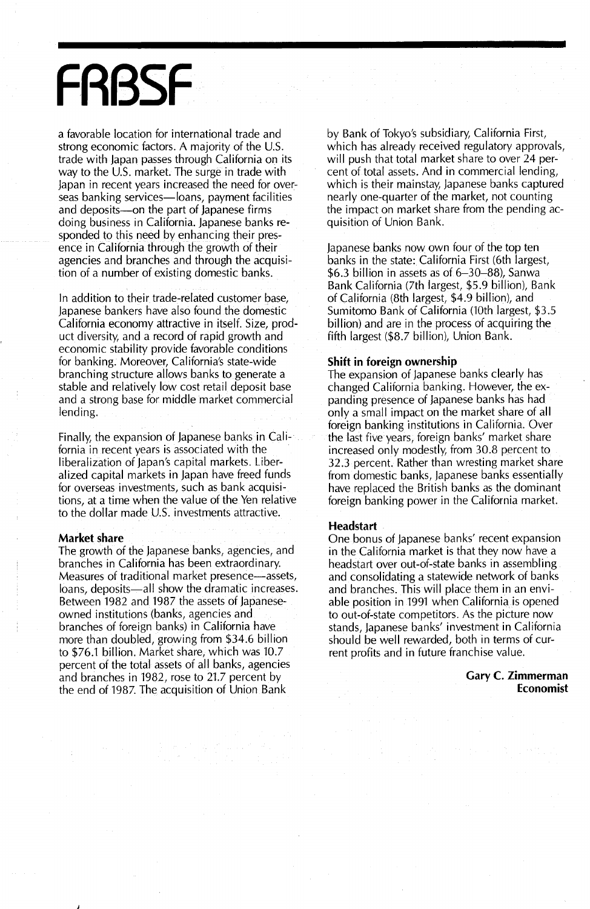## **FR8SF**

a favorable location for international trade and strong economic factors. A majority of the U.S. trade with Japan passes through California on its way to the  $U.S.$  market. The surge in trade with Japan in recent years increased the need for overseas banking services-loans, payment facilities and deposits-on the part of Japanese firms doing business in California. Japanese banks responded to this need by enhancing their presence in California through the growth of their agencies and branches and through the acquisition of a number of existing domestic banks.

In addition to their trade-related customer base, Japanese bankers have also found the domestic California economy attractive in itself. Size, product diversity, and a record of rapid growth and economic stability provide favorable conditions for banking. Moreover, California's state-wide branching structure allows banks to generate a stable and relatively low cost retail deposit base and a strong base for middle market commercial lending.

Finally, the expansion of Japanese banks in California in recent years is associated with the liberalization of Japan's capital markets. Liberalized capital markets in Japan have freed funds for overseas investments, such as bank acquisitions, at a time when the value of the Yen relative to the dollar made U.S. investments attractive.

#### **Market share**

J

The growth of the Japanese banks, agencies, and branches in California has been extraordinary. Measures of traditional market presence—assets, loans, deposits-all show the dramatic increases. Between 1982 and 1987 the assets of Japaneseowned institutions (banks, agencies and branches of foreign banks) in California have more than doubled, growing from \$34.6 billion to \$76.1 billion. Market share, which was 10.7 percent of the total assets of all banks, agencies and branches in 1982, rose to 21.7 percent by the end of 1987. The acquisition of Union Bank

by Bank of Tokyo's subsidiary, California First, which has already received regulatory approvals, will push that total market share to over 24 percent of total assets. And in commercial lending, which is their mainstay, Japanese banks captured nearly one-quarter of the market, not counting the impact on market share from the pending acquisition of Union Bank.

Japanese banks now own four of the top ten banks in the state: California First (6th largest, \$6.3 billion in assets as of 6-30-88), Sanwa Bank California (7th largest, \$5.9 billion), Bank of California (8th largest, \$4.9 billion), and Sumitomo Bank of California (10th largest, \$3.5 billion) and are in the process of acquiring the fifth largest (\$8.7 billion), Union Bank.

### **Shift in foreign ownership**

The expansion of Japanese banks clearly has changed California banking. However, the expanding presence of Japanese banks has had only a small impact on the market share of all foreign banking institutions in California. Over the last five years, foreign banks' market share increased only modestly, from 30.8 percent to 32.3 percent. Rather than wresting market share from domestic banks, Japanese banks essentially have replaced the British banks as the dominant foreign banking power in the California market.

#### **Headstart**

One bonus of Japanese banks' recent expansion in the California market is that they now have a headstart over out-of-state banks in assembling and consolidating a statewide network of banks and branches. This will place them in an enviable position in 1991 when California.is opened to out-of-state competitors. As the picture now stands, Japanese banks' investment in California should be well rewarded, both in terms of current profits and in future franchise value.

> **Gary C. Zimmerman Economist**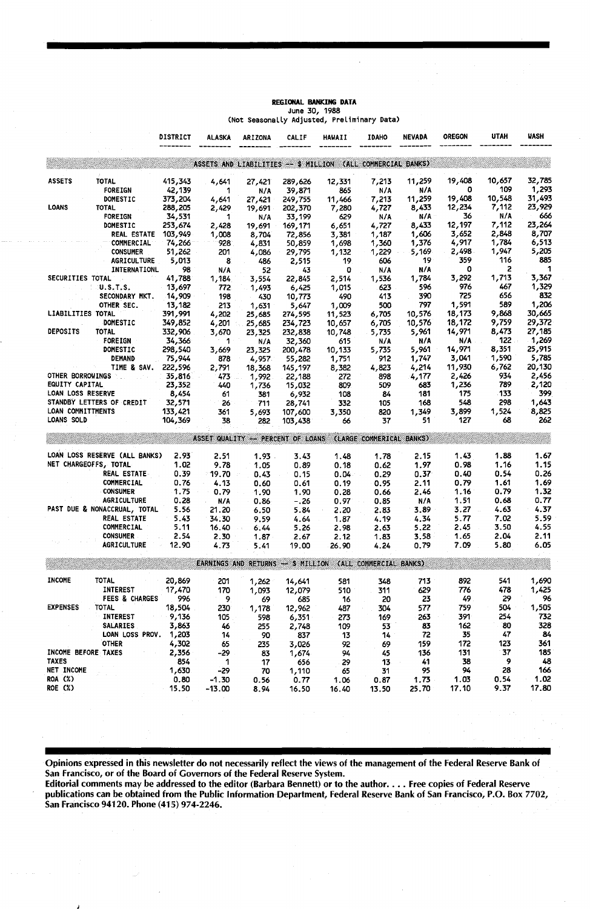|                          |                               | DISTRICT      | <b>ALASKA</b> | <b>ARIZONA</b> | CALIF   | HAWAII                                                      | <b>IDAHO</b> | <b>NEVADA</b> | <b>OREGON</b> | <b>UTAH</b> | WASH        |
|--------------------------|-------------------------------|---------------|---------------|----------------|---------|-------------------------------------------------------------|--------------|---------------|---------------|-------------|-------------|
|                          |                               |               |               |                |         | ASSETS AND LIABILITIES -- \$ MILLION (ALL COMMERCIAL BANKS) |              |               |               |             |             |
| <b>ASSETS</b>            | <b>TOTAL</b>                  | 415,343       | 4,641         | 27,421         | 289,626 | 12,331                                                      | 7,213        | 11,259        | 19,408        | 10,657      | 32,785      |
|                          | <b>FOREIGN</b>                | 42,139        | 1             | N/A            | 39,871  | 865                                                         | N/A          | N/A           | o             | 109         | 1,293       |
|                          | DOMESTIC                      | 373,204       | 4,641         | 27,421         | 249,755 | 11,466                                                      | 7,213        | 11,259        | 19,408        | 10,548      | 31,493      |
| <b>LOANS</b>             | TOTAL                         | 288,205       | 2,429         | 19,691         | 202,370 | 7,280                                                       | 4,727        | 8,433         | 12,234        | 7,112       | 23,929      |
|                          | FOREIGN                       | 34,531        | 1             | N/A            | 33,199  | 629                                                         | N/A          | N/A           | 36            | N/A         | 666         |
|                          | DOMESTIC                      | 253,674       | 2,428         | 19,691         | 169,171 | 6,651                                                       | 4,727        | 8,433         | 12,197        | 7,112       | 23,264      |
|                          | REAL ESTATE                   | 103,949       | 1,008         | 8,704          | 72,856  | 3,381                                                       | 1,187        | 1,606         | 3,652         | 2,848       | 8,707       |
|                          | COMMERCIAL                    | 74,266        | 928           | 4,831          | 50,859  | 1,698                                                       | 1,360        | 1,376         | 4,917         | 1,784       | 6,513       |
|                          | <b>CONSUMER</b>               | 51,262        | 201           | 4,086          | 29,795  | 1,132                                                       | 1,229        | 5,169         | 2,498         | 1,947       | 5,205       |
|                          | <b>AGRICULTURE</b>            | 5,013         | 8.            | 486            | 2,515   | 19                                                          | 606          | 19            | 359           | 116         | 885         |
|                          | INTERNATIONL                  | 98            | N/A           | 52             | 43      | o                                                           | N/A          | N/A           | 0             | 2           |             |
| SECURITIES TOTAL         |                               | 41,788        | 1,184         | 3,554          | 22,845  | 2,514                                                       | 1,536        | 1,784         | 3,292         | 1,713       | 3,367       |
|                          | <b>U.S.T.S.</b>               | 13,697        | 772           | 1.493          | 6,425   | 1,015                                                       | 623          | 596           | 976           | 467         | 1,329       |
|                          | SECONDARY MKT.                | 14,909        | 198           | 430            | 10,773  | 490                                                         | 413          | 390           | 725           | 656         | 832         |
|                          | OTHER SEC.                    | 13,182        | 213           | 1,631          | 5,647   | 1,009                                                       | 500          | 797           | 1,591         | 589         | 1,206       |
| <b>LIABILITIES TOTAL</b> |                               | 391,991       | 4,202         | 25,685         | 274,595 | 11,523                                                      | 6,705        | 10,576        | 18,173        | 9,868       | 30,665      |
|                          | DOMESTIC                      | 349,852       | 4,201         | 25,685         | 234,723 | 10,657                                                      | 6,705        | 10,576        | 18,172        | 9,759       | 29,372      |
| DEPOSITS                 | <b>TOTAL</b>                  | 332,906       | 3,670         | 23,325         | 232,838 | 10,748                                                      | 5,735        | 5,961         | 14,971        | 8,473       | 27,185      |
|                          | <b>FOREIGN</b>                | 34,366        | 1             | N/A            | 32,360  | 615                                                         | N/A          | N/A           | N/A           | 122         | 1,269       |
|                          | DOMESTIC                      | 298,540       | 3,669         | 23,325         | 200,478 | 10,133                                                      | 5,735        | 5,961         | 14,971        | 8,351       | 25,915      |
|                          | <b>DEMAND</b>                 | 75,944        | 878           | 4,957          | 55,282  | 1,751                                                       | 912          | 1,747         | 3,041         | 1,590       | 5,785       |
|                          | TIME & SAV.                   | 222,596       | 2,791         | 18,368         | 145,197 | 8,382                                                       | 4,823        | 4,214         | 11,930        | 6,762       | 20,130      |
| OTHER BORROWINGS         |                               | 35,816        | 473           | 1,992          | 22,188  | 272                                                         | 898          | 4,177         | 2,426         | 934         | 2,456       |
| EQUITY CAPITAL           |                               | 23,352        | 440           | 1,736          | 15,032  | 809                                                         | 509          | 683           | 1,236         | 789         | 2,120       |
| LOAN LOSS RESERVE        |                               | 8,454         | 61            | 381            | 6,932   | 108                                                         | 84           | 181           | 175           | 133         | 399         |
|                          | STANDBY LETTERS OF CREDIT     | 32,571        | 26            | 711            | 28,741  | 332                                                         | 105          | 168           | 548           | 298         | 1,643       |
| LOAN COMMITTMENTS        |                               | 133,421       | 361           | 5,693          | 107,600 | 3,350                                                       | 820          | 1,349         | 3,899         | 1,524       | 8,825       |
| LOANS SOLD               |                               | 104,369       | 38            | 282            | 103,438 | 66                                                          | 37           | 51            | 127           | 68          | 262         |
|                          |                               |               |               |                |         | ASSET QUALITY -- PERCENT OF LOANS (LARGE COMMERICAL BANKS)  |              |               |               |             |             |
|                          | LOAN LOSS RESERVE (ALL BANKS) | 2.93          | 2.51          | $1.93 -$       | 3.43    | 1.48                                                        | 1.78         | 2.15          | 1.43          | 1.88        | 1.67        |
|                          | NET CHARGEOFFS, TOTAL         | 1.02          | 9.78          | 1.05           | 0.89    | 0.18                                                        | 0.62         | 1.97          | 0.98          | 1.16        | 1.15        |
|                          | REAL ESTATE                   | 0.39          | 19.70         | 0.43           | 0.15    | 0.04                                                        | 0.29         | 0.37          | 0.40          | 0.54        | 0.26        |
|                          | COMMERCIAL                    | 0.76          | 4.13          | 0.60           | 0.61    | 0.19                                                        | 0.95         | 2.11          | 0.79          | 1.61        | 1.69        |
|                          | <b>CONSUMER</b>               | 1.75          | 0.79          | 1.90           | 1.90    | 0.28                                                        | 0.66         | 2.46          | 1.16          | 0.79        | 1.32        |
|                          | <b>AGRICULTURE</b>            | 0.28          | N/A           | 0.86           | $-.26$  | 0.97                                                        | 0.85         | N/A           | 1.51          | 0.68        | 0.77        |
|                          | PAST DUE & NONACCRUAL, TOTAL  | 5.56          | 21.20         | 6.50           | 5.84    | 2.20                                                        | 2.83         | 3.89          | 3.27          | 4.63        | 4.37        |
|                          | REAL ESTATE                   | 5.43          | 34.30         | 9.59           | 4.64    | 1.87                                                        | 4.19         | 4.34          | 5.77          | 7.02        | 5.59        |
|                          | COMMERCIAL                    | 5.11          | 16.40         | 6.44<br>in a   | 5.26    | 2.98                                                        | 2.63         | 5.22          | 2.45          | 3.50        | 4.55        |
|                          | <b>CONSUMER</b>               | 2.54          | 2.30          | 1.87           | 2.67    | 2.12                                                        | 1.83         | 3.58          | 1.65          | 2.04        | 2.11        |
|                          | <b>AGRICULTURE</b>            | 12.90         | 4.73          | 5.41           | 19.00   | 26.90                                                       | 4.24         | 0.79          | 7.09          | 5.80        | 6.05        |
|                          |                               |               |               |                |         | EARNINGS AND RETURNS -- \$ MILLION (ALL COMMERCIAL BANKS)   |              |               |               |             |             |
| INCOME                   | <b>TOTAL</b>                  |               |               |                |         |                                                             |              |               |               | 541         |             |
|                          |                               | 20,869        | 201           | 1,262          | 14,641  | 581                                                         | 348          | 713           | 892           |             | 1,690       |
|                          | <b>INTEREST</b>               | 17,470<br>996 | 170           | 1,093          | 12,079  | 510                                                         | 311          | 629           | 776           | 478         | 1,425<br>96 |
| <b>EXPENSES</b>          | <b>FEES &amp; CHARGES</b>     |               | 9             | 69             | 685     | 16                                                          | 20           | 23            | 49            | 29          |             |
|                          | <b>TOTAL</b>                  | 18,504        | 230           | 1,178          | 12,962  | 487                                                         | 304          | 577           | 759           | 504         | 1,505       |
|                          | <b>INTEREST</b>               | 9,136         | 105           | 598            | 6,351   | 273                                                         | 169          | 263           | 391           | 254         | 732         |
|                          | <b>SALARIES</b>               | 3,863         | 46            | 255            | 2,748   | 109                                                         | 53           | 83            | 162           | 80          | 328         |
|                          | LOAN LOSS PROV.               | 1,203         | 14            | 90             | 837     | 13                                                          | 14           | 72            | 35            | 47          | 84          |
|                          | <b>OTHER</b>                  | 4,302         | 65            | 235            | 3,026   | 92                                                          | 69           | 159           | 172           | 123         | 361         |
| INCOME BEFORE TAXES      |                               | 2,356         | $-29$         | 83             | 1,674   | 94                                                          | 45           | 136           | 131           | 37          | 185         |
| <b>TAXES</b>             |                               | 854           | 1             | 17             | 656     | 29                                                          | 13           | 41            | 38            | 9           | 48          |
| NET INCOME               |                               | 1,630         | -29           | 70             | 1,110   | 65                                                          | 31           | 95            | 94            | 28          | 166         |
| ROA (%)                  |                               | 0.80          | $-1.30$       | 0.56           | 0.77    | 1.06                                                        | 0.87         | 1.73          | 1.03          | 0.54        | 1.02        |
| ROE (%)                  |                               | 15.50         | $-13.00$      | 8.94           | 16.50   | 16.40                                                       | 13.50        | 25.70         | 17.10         | 9.37        | 17.80       |

#### REGIONAL BANKING DATA June 30, 1988 (Not Seasonally Adjusted, Preliminary Data)

Opinions expressed in this newsletter do not necessarily reflect the views of the management of the Federal Reserve Bank of San Francisco, or of the Board of Governors of the Federal Reserve System.

Editorial comments may be addressed to the editor (Barbara Bennett) or to the author.... Free copies of Federal Reserve publications can be obtained from the Public Information Department, Federal Reserve Bank of San Francisco, P.O. Box 7702, San Francisco 94120. Phone (415) 974-2246.

)